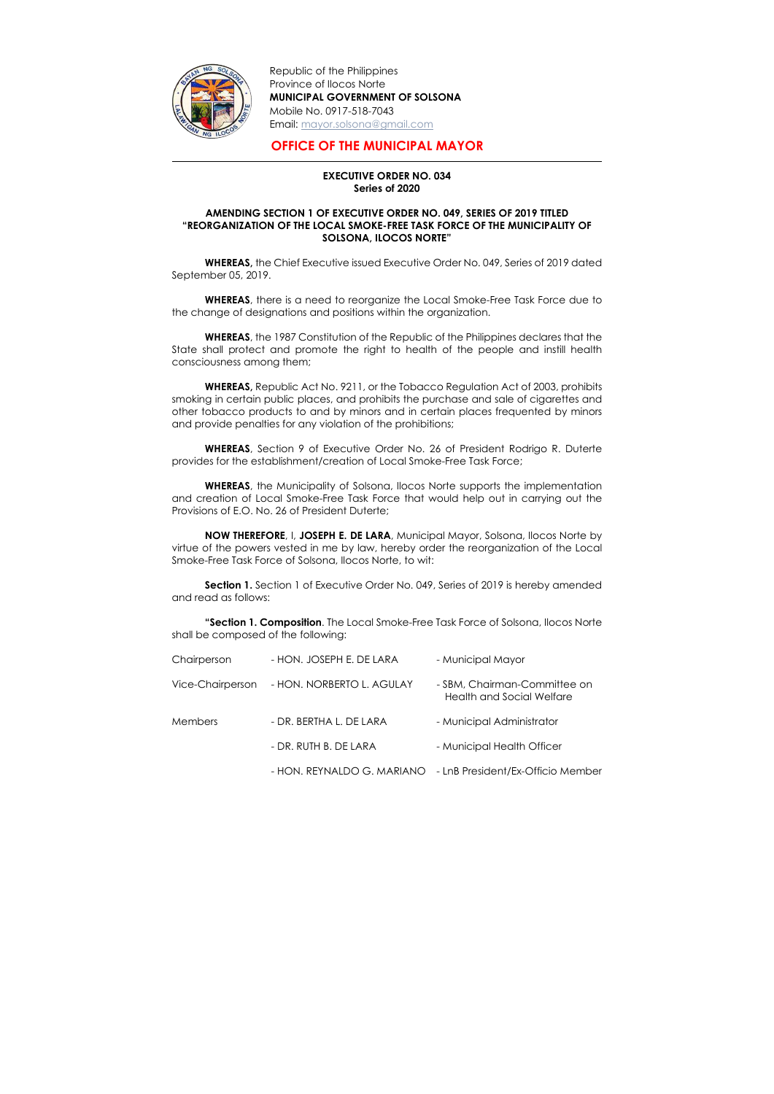

-

Republic of the Philippines Province of Ilocos Norte MUNICIPAL GOVERNMENT OF SOLSONA Mobile No. 0917-518-7043 Email: mayor.solsona@gmail.com

## OFFICE OF THE MUNICIPAL MAYOR

## EXECUTIVE ORDER NO. 034 Series of 2020

## AMENDING SECTION 1 OF EXECUTIVE ORDER NO. 049, SERIES OF 2019 TITLED "REORGANIZATION OF THE LOCAL SMOKE-FREE TASK FORCE OF THE MUNICIPALITY OF SOLSONA, ILOCOS NORTE"

WHEREAS, there is a need to reorganize the Local Smoke-Free Task Force due to the change of designations and positions within the organization.

WHEREAS, the Chief Executive issued Executive Order No. 049, Series of 2019 dated September 05, 2019.

WHEREAS, the 1987 Constitution of the Republic of the Philippines declares that the State shall protect and promote the right to health of the people and instill health consciousness among them;

Section 1. Section 1 of Executive Order No. 049, Series of 2019 is hereby amended and read as follows:

WHEREAS, Republic Act No. 9211, or the Tobacco Regulation Act of 2003, prohibits smoking in certain public places, and prohibits the purchase and sale of cigarettes and other tobacco products to and by minors and in certain places frequented by minors and provide penalties for any violation of the prohibitions;

WHEREAS, Section 9 of Executive Order No. 26 of President Rodrigo R. Duterte provides for the establishment/creation of Local Smoke-Free Task Force;

WHEREAS, the Municipality of Solsona, Ilocos Norte supports the implementation and creation of Local Smoke-Free Task Force that would help out in carrying out the Provisions of E.O. No. 26 of President Duterte;

NOW THEREFORE, I, JOSEPH E. DE LARA, Municipal Mayor, Solsona, Ilocos Norte by virtue of the powers vested in me by law, hereby order the reorganization of the Local Smoke-Free Task Force of Solsona, Ilocos Norte, to wit:

"Section 1. Composition. The Local Smoke-Free Task Force of Solsona, Ilocos Norte shall be composed of the following:

| Chairperson      | - HON. JOSEPH E. DE LARA  | - Municipal Mayor                                                |
|------------------|---------------------------|------------------------------------------------------------------|
| Vice-Chairperson | - HON. NORBERTO L. AGULAY | - SBM, Chairman-Committee on<br><b>Health and Social Welfare</b> |
| <b>Members</b>   | - DR. BERTHA L. DE LARA   | - Municipal Administrator                                        |
|                  | - DR. RUTH B. DE LARA     | - Municipal Health Officer                                       |
|                  |                           |                                                                  |

- HON. REYNALDO G. MARIANO - LnB President/Ex-Officio Member